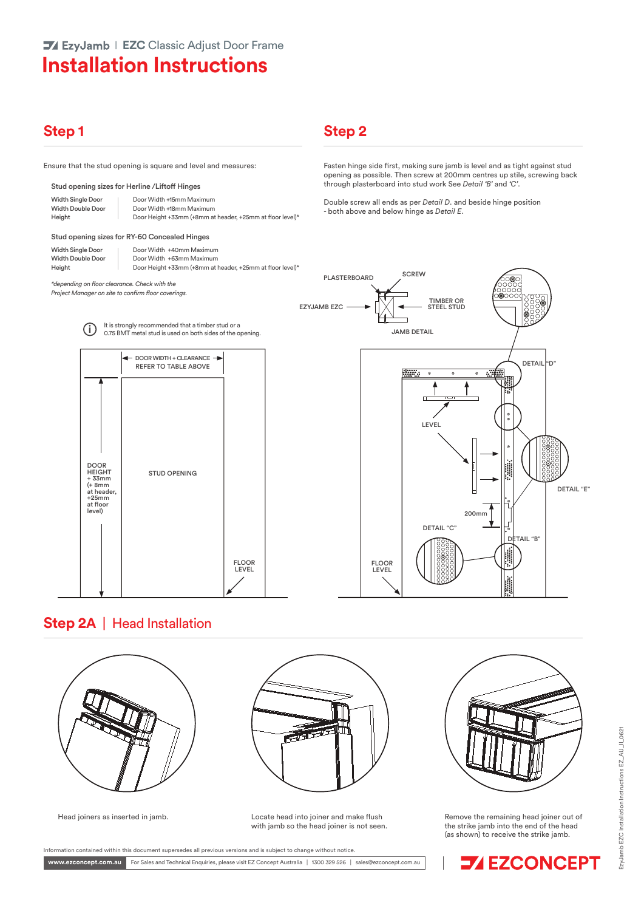## **Installation Instructions**

### **Step 1**

Ensure that the stud opening is square and level and measures:

#### Stud opening sizes for Herline /Liftoff Hinges

| <b>Width Single Door</b> | Door Width +15mm Maximum                                  |
|--------------------------|-----------------------------------------------------------|
| <b>Width Double Door</b> | Door Width +18mm Maximum                                  |
| Height                   | Door Height +33mm (+8mm at header, +25mm at floor level)* |

#### Stud opening sizes for RY-60 Concealed Hinges

| Door Width +40mm Maximum                                  |
|-----------------------------------------------------------|
| Door Width +63mm Maximum                                  |
| Door Height +33mm (+8mm at header, +25mm at floor level)* |
|                                                           |

*\*depending on floor clearance. Check with the Project Manager on site to confirm floor coverings.*

# **Step 2**

Fasten hinge side first, making sure jamb is level and as tight against stud opening as possible. Then screw at 200mm centres up stile, screwing back through plasterboard into stud work See *Detail 'B'* and *'C'*.

Double screw all ends as per *Detail D*. and beside hinge position - both above and below hinge as *Detail E*.





#### **Step 2A** | Head Installation





Head joiners as inserted in jamb. Locate head into joiner and make flush with jamb so the head joiner is not seen.



Remove the remaining head joiner out of the strike jamb into the end of the head (as shown) to receive the strike jamb.



.<br>Information contained within this document supersedes all previous versions and is subject to change without notice.

For Sales and Technical Enquiries, please visit EZ Concept Australia | 1300 329 526 | sales@ezconcept.com.au **www.ezconcept.com.au**